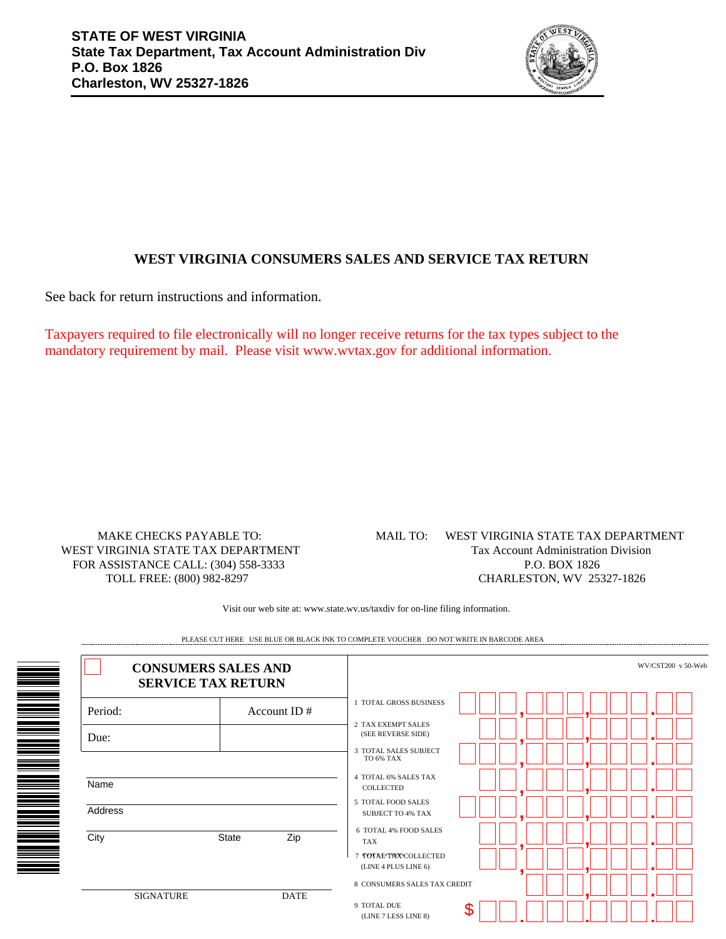

## **WEST VIRGINIA CONSUMERS SALES AND SERVICE TAX RETURN**

See back for return instructions and information.

Taxpayers required to file electronically will no longer receive returns for the tax types subject to the mandatory requirement by mail. Please visit www.wvtax.gov for additional information.

MAKE CHECKS PAYABLE TO: WEST VIRGINIA STATE TAX DEPARTMENT FOR ASSISTANCE CALL: (304) 558-3333 TOLL FREE: (800) 982-8297

## WEST VIRGINIA STATE TAX DEPARTMENT Tax Account Administration Division P.O. BOX 1826 CHARLESTON, WV 25327-1826 MAIL TO:

Visit our web site at: www.state.wv.us/taxdiv for on-line filing information.

| <b>CONSUMERS SALES AND</b><br><b>SERVICE TAX RETURN</b> |                     | WV/CST200 v 50-Web                                                                    |  |
|---------------------------------------------------------|---------------------|---------------------------------------------------------------------------------------|--|
| Period:                                                 | Account ID $#$      | <b>TOTAL GROSS BUSINESS</b>                                                           |  |
| Due:                                                    |                     | 2 TAX EXEMPT SALES<br>(SEE REVERSE SIDE)<br><b>3 TOTAL SALES SUBJECT</b><br>TO 6% TAX |  |
| Name                                                    |                     | <b>4 TOTAL 6% SALES TAX</b><br>COLLECTED                                              |  |
| Address                                                 |                     | 5 TOTAL FOOD SALES<br><b>SUBJECT TO 4% TAX</b>                                        |  |
| City                                                    | <b>State</b><br>Zip | 6 TOTAL 4% FOOD SALES<br><b>TAX</b><br>7 TOTAE TAXY COLLECTED<br>(LINE 4 PLUS LINE 6) |  |
| <b>SIGNATURE</b>                                        | <b>DATE</b>         | 8 CONSUMERS SALES TAX CREDIT<br>9 TOTAL DUE<br>(LINE 7 LESS LINE 8)                   |  |

PLEASE CUT HERE USE BLUE OR BLACK INK TO COMPLETE VOUCHER DO NOT WRITE IN BARCODE AREA